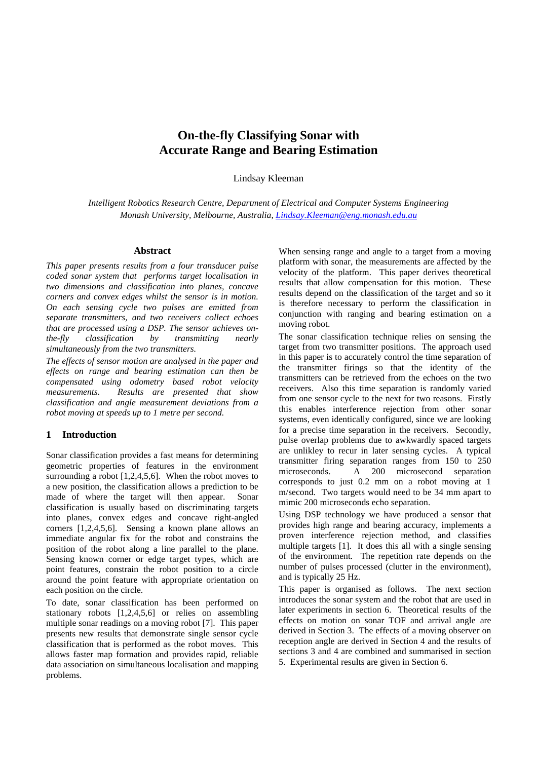# **On-the-fly Classifying Sonar with Accurate Range and Bearing Estimation**

Lindsay Kleeman

*Intelligent Robotics Research Centre, Department of Electrical and Computer Systems Engineering Monash University, Melbourne, Australia, Lindsay.Kleeman@eng.monash.edu.au*

### **Abstract**

*This paper presents results from a four transducer pulse coded sonar system that performs target localisation in two dimensions and classification into planes, concave corners and convex edges whilst the sensor is in motion. On each sensing cycle two pulses are emitted from separate transmitters, and two receivers collect echoes that are processed using a DSP. The sensor achieves onthe-fly classification by transmitting nearly simultaneously from the two transmitters.*

*The effects of sensor motion are analysed in the paper and effects on range and bearing estimation can then be compensated using odometry based robot velocity measurements. Results are presented that show classification and angle measurement deviations from a robot moving at speeds up to 1 metre per second.*

# **1 Introduction**

Sonar classification provides a fast means for determining geometric properties of features in the environment surrounding a robot [1,2,4,5,6]. When the robot moves to a new position, the classification allows a prediction to be made of where the target will then appear. Sonar classification is usually based on discriminating targets into planes, convex edges and concave right-angled corners [1,2,4,5,6]. Sensing a known plane allows an immediate angular fix for the robot and constrains the position of the robot along a line parallel to the plane. Sensing known corner or edge target types, which are point features, constrain the robot position to a circle around the point feature with appropriate orientation on each position on the circle.

To date, sonar classification has been performed on stationary robots [1,2,4,5,6] or relies on assembling multiple sonar readings on a moving robot [7]. This paper presents new results that demonstrate single sensor cycle classification that is performed as the robot moves. This allows faster map formation and provides rapid, reliable data association on simultaneous localisation and mapping problems.

When sensing range and angle to a target from a moving platform with sonar, the measurements are affected by the velocity of the platform. This paper derives theoretical results that allow compensation for this motion. These results depend on the classification of the target and so it is therefore necessary to perform the classification in conjunction with ranging and bearing estimation on a moving robot.

The sonar classification technique relies on sensing the target from two transmitter positions. The approach used in this paper is to accurately control the time separation of the transmitter firings so that the identity of the transmitters can be retrieved from the echoes on the two receivers. Also this time separation is randomly varied from one sensor cycle to the next for two reasons. Firstly this enables interference rejection from other sonar systems, even identically configured, since we are looking for a precise time separation in the receivers. Secondly, pulse overlap problems due to awkwardly spaced targets are unlikley to recur in later sensing cycles. A typical transmitter firing separation ranges from 150 to 250 microseconds. A 200 microsecond separation corresponds to just 0.2 mm on a robot moving at 1 m/second. Two targets would need to be 34 mm apart to mimic 200 microseconds echo separation.

Using DSP technology we have produced a sensor that provides high range and bearing accuracy, implements a proven interference rejection method, and classifies multiple targets [1]. It does this all with a single sensing of the environment. The repetition rate depends on the number of pulses processed (clutter in the environment), and is typically 25 Hz.

This paper is organised as follows. The next section introduces the sonar system and the robot that are used in later experiments in section 6. Theoretical results of the effects on motion on sonar TOF and arrival angle are derived in Section 3. The effects of a moving observer on reception angle are derived in Section 4 and the results of sections 3 and 4 are combined and summarised in section 5. Experimental results are given in Section 6.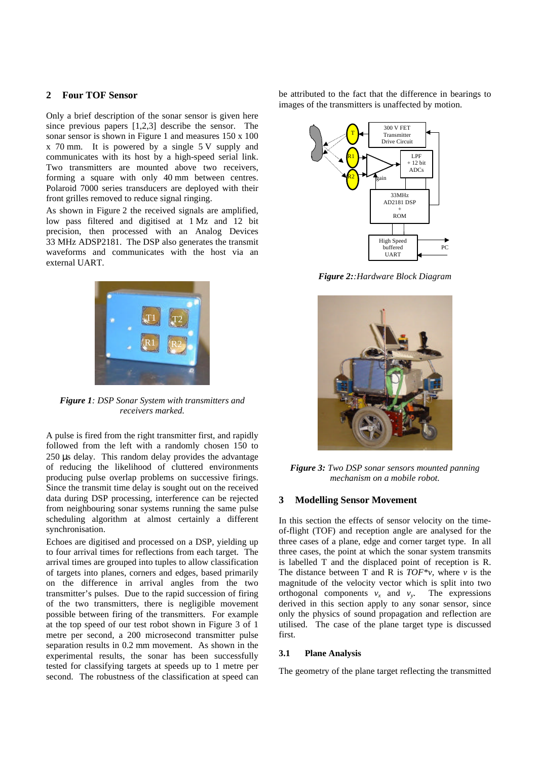# **2 Four TOF Sensor**

Only a brief description of the sonar sensor is given here since previous papers [1,2,3] describe the sensor. The sonar sensor is shown in Figure 1 and measures 150 x 100 x 70 mm. It is powered by a single 5 V supply and communicates with its host by a high-speed serial link. Two transmitters are mounted above two receivers, forming a square with only 40 mm between centres. Polaroid 7000 series transducers are deployed with their front grilles removed to reduce signal ringing.

As shown in Figure 2 the received signals are amplified, low pass filtered and digitised at 1 Mz and 12 bit precision, then processed with an Analog Devices 33 MHz ADSP2181. The DSP also generates the transmit waveforms and communicates with the host via an external UART.



*Figure 1: DSP Sonar System with transmitters and receivers marked.*

A pulse is fired from the right transmitter first, and rapidly followed from the left with a randomly chosen 150 to 250 μs delay. This random delay provides the advantage of reducing the likelihood of cluttered environments producing pulse overlap problems on successive firings. Since the transmit time delay is sought out on the received data during DSP processing, interference can be rejected from neighbouring sonar systems running the same pulse scheduling algorithm at almost certainly a different synchronisation.

Echoes are digitised and processed on a DSP, yielding up to four arrival times for reflections from each target. The arrival times are grouped into tuples to allow classification of targets into planes, corners and edges, based primarily on the difference in arrival angles from the two transmitter's pulses. Due to the rapid succession of firing of the two transmitters, there is negligible movement possible between firing of the transmitters. For example at the top speed of our test robot shown in Figure 3 of 1 metre per second, a 200 microsecond transmitter pulse separation results in 0.2 mm movement. As shown in the experimental results, the sonar has been successfully tested for classifying targets at speeds up to 1 metre per second. The robustness of the classification at speed can be attributed to the fact that the difference in bearings to images of the transmitters is unaffected by motion.



*Figure 2::Hardware Block Diagram*



*Figure 3: Two DSP sonar sensors mounted panning mechanism on a mobile robot.*

# **3 Modelling Sensor Movement**

In this section the effects of sensor velocity on the timeof-flight (TOF) and reception angle are analysed for the three cases of a plane, edge and corner target type. In all three cases, the point at which the sonar system transmits is labelled T and the displaced point of reception is R. The distance between T and R is  $TOF^*v$ , where *v* is the magnitude of the velocity vector which is split into two orthogonal components  $v_x$  and  $v_y$ . The expressions derived in this section apply to any sonar sensor, since only the physics of sound propagation and reflection are utilised. The case of the plane target type is discussed first.

#### **3.1 Plane Analysis**

The geometry of the plane target reflecting the transmitted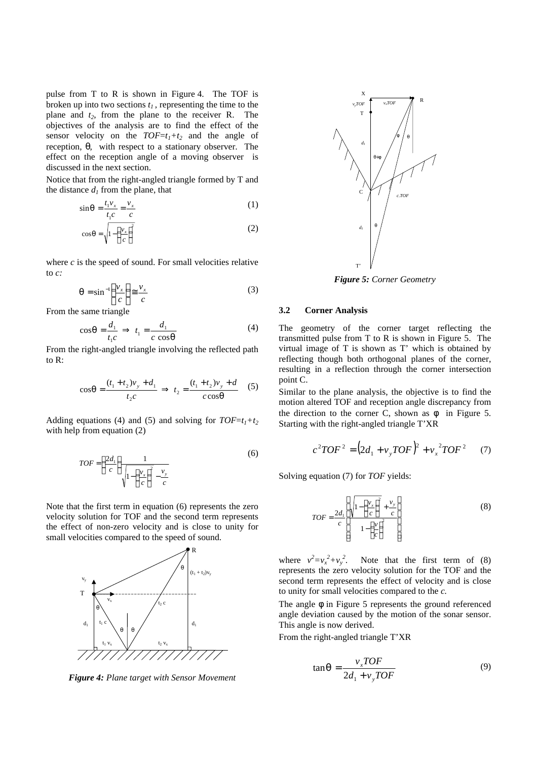pulse from T to R is shown in Figure 4. The TOF is broken up into two sections *t<sup>1</sup>* , representing the time to the plane and *t2*, from the plane to the receiver R. The objectives of the analysis are to find the effect of the sensor velocity on the  $TOF=t_1+t_2$  and the angle of reception, *q*, with respect to a stationary observer. The effect on the reception angle of a moving observer is discussed in the next section.

Notice that from the right-angled triangle formed by T and the distance  $d_I$  from the plane, that

$$
\sin q = \frac{t_1 v_x}{t_1 c} = \frac{v_x}{c} \tag{1}
$$

$$
\cos q = \sqrt{1 - \left(\frac{v_x}{c}\right)^2} \tag{2}
$$

where  $c$  is the speed of sound. For small velocities relative to *c:*

$$
\mathbf{q} = \sin^{-1}\left(\frac{v_x}{c}\right) \cong \frac{v_x}{c} \tag{3}
$$

From the same triangle

$$
\cos q = \frac{d_1}{t_1 c} \implies t_1 = \frac{d_1}{c \cos q} \tag{4}
$$

From the right-angled triangle involving the reflected path to R:

$$
\cos q = \frac{(t_1 + t_2)v_y + d_1}{t_2 c} \implies t_2 = \frac{(t_1 + t_2)v_y + d}{c \cos q} \quad (5)
$$

Adding equations (4) and (5) and solving for  $TOF=t_1+t_2$ with help from equation (2)

$$
TOF = \left(\frac{2d_1}{c}\right) \frac{1}{\sqrt{1 - \left(\frac{v_x}{c}\right)^2 - \frac{v_y}{c}}}
$$
(6)

Note that the first term in equation (6) represents the zero velocity solution for TOF and the second term represents the effect of non-zero velocity and is close to unity for small velocities compared to the speed of sound.



*Figure 4: Plane target with Sensor Movement*



*Figure 5: Corner Geometry*

## **3.2 Corner Analysis**

The geometry of the corner target reflecting the transmitted pulse from T to R is shown in Figure 5. The virtual image of T is shown as T' which is obtained by reflecting though both orthogonal planes of the corner, resulting in a reflection through the corner intersection point C.

Similar to the plane analysis, the objective is to find the motion altered TOF and reception angle discrepancy from the direction to the corner C, shown as  $f$  in Figure 5. Starting with the right-angled triangle T'XR

$$
c^{2}TOF^{2} = (2d_{1} + v_{y}TOF)^{2} + v_{x}^{2}TOF^{2} \tag{7}
$$

Solving equation (7) for *TOF* yields:

$$
TOF = \frac{2d_1}{c} \left[ \frac{\sqrt{1 - \left(\frac{v_x}{c}\right)^2} + \frac{v_y}{c}}{1 - \left(\frac{v}{c}\right)^2} \right]
$$
(8)

where  $v^2 = v_x^2 + v_y^2$ . Note that the first term of (8) represents the zero velocity solution for the TOF and the second term represents the effect of velocity and is close to unity for small velocities compared to the *c.*

The angle **f** in Figure 5 represents the ground referenced angle deviation caused by the motion of the sonar sensor. This angle is now derived.

From the right-angled triangle T'XR

$$
\tan \mathbf{q} = \frac{v_x TOF}{2d_1 + v_y TOF} \tag{9}
$$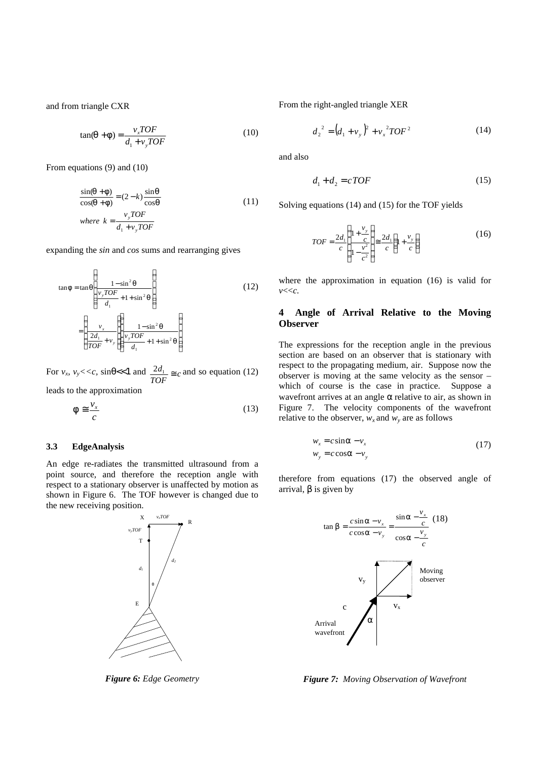and from triangle CXR

$$
\tan(\mathbf{q} + \mathbf{f}) = \frac{v_x TOF}{d_1 + v_y TOF}
$$
 (10)

From equations (9) and (10)

$$
\frac{\sin(q+f)}{\cos(q+f)} = (2-k)\frac{\sin q}{\cos q}
$$
\n(11)  
\nwhere  $k = \frac{v_y TOF}{d_1 + v_y TOF}$ 

expanding the *sin* and *cos* sums and rearranging gives

$$
\tan f = \tan \left( \frac{1 - \sin^2 \theta}{\frac{v_y TOF}{d_1} + 1 + \sin^2 \theta} \right)
$$
\n
$$
= \left( \frac{v_x}{\frac{2d_1}{TOF} + v_y} \left( \frac{1 - \sin^2 \theta}{\frac{v_y TOF}{d_1} + 1 + \sin^2 \theta} \right) \right)
$$
\n(12)

For  $v_x$ ,  $v_y \ll c$ ,  $\sin q \ll 1$  and  $\frac{2d_1}{TOF} \approx c$  $\frac{2d_1}{2\epsilon} \approx c$  and so equation (12)

leads to the approximation

$$
\mathbf{f} \cong \frac{\mathbf{v}_x}{c} \tag{13}
$$

#### **3.3 EdgeAnalysis**

An edge re-radiates the transmitted ultrasound from a point source, and therefore the reception angle with respect to a stationary observer is unaffected by motion as shown in Figure 6. The TOF however is changed due to the new receiving position.



*Figure 6: Edge Geometry*

From the right-angled triangle XER

$$
d_2^2 = (d_1 + v_y)^2 + v_x^2 TOF^2 \tag{14}
$$

and also

$$
d_1 + d_2 = cTOF \tag{15}
$$

Solving equations (14) and (15) for the TOF yields

$$
TOF = \frac{2d_1}{c} \left( \frac{1 + \frac{v_y}{c}}{1 - \frac{v^2}{c^2}} \right) \approx \frac{2d_1}{c} \left( 1 + \frac{v_y}{c} \right)
$$
 (16)

where the approximation in equation (16) is valid for *v*<<*c.*

# **4 Angle of Arrival Relative to the Moving Observer**

The expressions for the reception angle in the previous section are based on an observer that is stationary with respect to the propagating medium, air. Suppose now the observer is moving at the same velocity as the sensor – which of course is the case in practice. Suppose a wavefront arrives at an angle *a* relative to air, as shown in Figure 7. The velocity components of the wavefront relative to the observer,  $w_x$  and  $w_y$  are as follows

$$
w_x = c \sin \mathbf{a} - v_x
$$
  
\n
$$
w_y = c \cos \mathbf{a} - v_y
$$
\n(17)

therefore from equations (17) the observed angle of arrival, *b* is given by



*Figure 7: Moving Observation of Wavefront*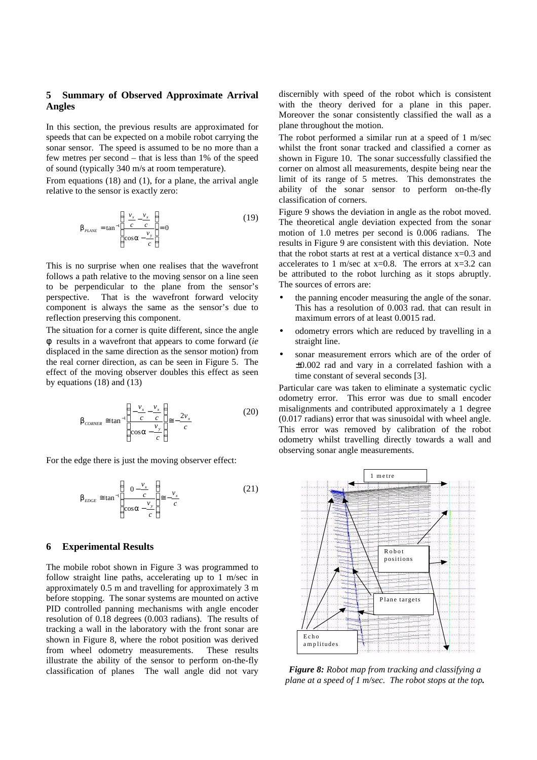# **5 Summary of Observed Approximate Arrival Angles**

In this section, the previous results are approximated for speeds that can be expected on a mobile robot carrying the sonar sensor. The speed is assumed to be no more than a few metres per second – that is less than 1% of the speed of sound (typically 340 m/s at room temperature).

From equations (18) and (1), for a plane, the arrival angle relative to the sensor is exactly zero:

$$
b_{\text{PLANE}} = \tan^{-1} \left( \frac{\frac{v_x}{c} - \frac{v_x}{c}}{\cos a - \frac{v_y}{c}} \right) = 0
$$
 (19)

This is no surprise when one realises that the wavefront follows a path relative to the moving sensor on a line seen to be perpendicular to the plane from the sensor's perspective. That is the wavefront forward velocity component is always the same as the sensor's due to reflection preserving this component.

The situation for a corner is quite different, since the angle *f* results in a wavefront that appears to come forward (*ie* displaced in the same direction as the sensor motion) from the real corner direction, as can be seen in Figure 5. The effect of the moving observer doubles this effect as seen by equations (18) and (13)

$$
\boldsymbol{b}_{\text{CONFER}} \cong \tan^{-1} \left( \frac{-\frac{\nu_x}{c} - \frac{\nu_x}{c}}{\cos \mathbf{a} - \frac{\nu_y}{c}} \right) \cong -\frac{2\nu_x}{c} \tag{20}
$$

For the edge there is just the moving observer effect:

$$
\boldsymbol{b}_{EDGE} \cong \tan^{-1} \left( \frac{0 - \frac{v_x}{c}}{\cos a - \frac{v_y}{c}} \right) \cong -\frac{v_x}{c}
$$
 (21)

## **6 Experimental Results**

The mobile robot shown in Figure 3 was programmed to follow straight line paths, accelerating up to 1 m/sec in approximately 0.5 m and travelling for approximately 3 m before stopping. The sonar systems are mounted on active PID controlled panning mechanisms with angle encoder resolution of 0.18 degrees (0.003 radians). The results of tracking a wall in the laboratory with the front sonar are shown in Figure 8, where the robot position was derived from wheel odometry measurements. These results illustrate the ability of the sensor to perform on-the-fly classification of planes The wall angle did not vary

discernibly with speed of the robot which is consistent with the theory derived for a plane in this paper. Moreover the sonar consistently classified the wall as a plane throughout the motion.

The robot performed a similar run at a speed of 1 m/sec whilst the front sonar tracked and classified a corner as shown in Figure 10. The sonar successfully classified the corner on almost all measurements, despite being near the limit of its range of 5 metres. This demonstrates the ability of the sonar sensor to perform on-the-fly classification of corners.

Figure 9 shows the deviation in angle as the robot moved. The theoretical angle deviation expected from the sonar motion of 1.0 metres per second is 0.006 radians. The results in Figure 9 are consistent with this deviation. Note that the robot starts at rest at a vertical distance  $x=0.3$  and accelerates to 1 m/sec at  $x=0.8$ . The errors at  $x=3.2$  can be attributed to the robot lurching as it stops abruptly. The sources of errors are:

- the panning encoder measuring the angle of the sonar. This has a resolution of 0.003 rad. that can result in maximum errors of at least 0.0015 rad.
- odometry errors which are reduced by travelling in a straight line.
- sonar measurement errors which are of the order of ±0.002 rad and vary in a correlated fashion with a time constant of several seconds [3].

Particular care was taken to eliminate a systematic cyclic odometry error. This error was due to small encoder misalignments and contributed approximately a 1 degree (0.017 radians) error that was sinusoidal with wheel angle. This error was removed by calibration of the robot odometry whilst travelling directly towards a wall and observing sonar angle measurements.



*Figure 8: Robot map from tracking and classifying a plane at a speed of 1 m/sec. The robot stops at the top.*